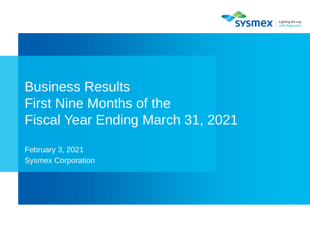

# Business Results First Nine Months of the Fiscal Year Ending March 31, 2021

February 3, 2021 Sysmex Corporation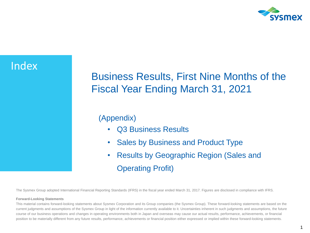

## Index

# Business Results, First Nine Months of the Fiscal Year Ending March 31, 2021

### (Appendix)

- Q3 Business Results
- Sales by Business and Product Type
- Results by Geographic Region (Sales and Operating Profit)

The Sysmex Group adopted International Financial Reporting Standards (IFRS) in the fiscal year ended March 31, 2017. Figures are disclosed in compliance with IFRS.

#### **Forward-Looking Statements**

This material contains forward-looking statements about Sysmex Corporation and its Group companies (the Sysmex Group). These forward-looking statements are based on the current judgments and assumptions of the Sysmex Group in light of the information currently available to it. Uncertainties inherent in such judgments and assumptions, the future course of our business operations and changes in operating environments both in Japan and overseas may cause our actual results, performance, achievements, or financial position to be materially different from any future results, performance, achievements or financial position either expressed or implied within these forward-looking statements.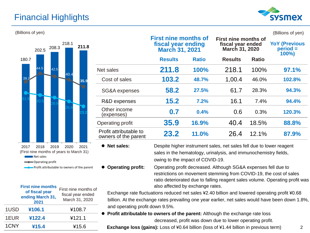### Financial Highlights





|      | <b>First nine months</b><br>of fiscal year<br>ending March 31,<br>2021 | First nine months of<br>fiscal year ended<br>March 31, 2020 |
|------|------------------------------------------------------------------------|-------------------------------------------------------------|
| 1USD | ¥106.1                                                                 | ¥108.7                                                      |
| 1EUR | ¥122.4                                                                 | ¥121.1                                                      |
| 1CNY | ¥15.4                                                                  | ¥15.6                                                       |

| (Billions of yen) |                |                                                |                                                                            |              |                                                             |              | (Billions of yen)                              |
|-------------------|----------------|------------------------------------------------|----------------------------------------------------------------------------|--------------|-------------------------------------------------------------|--------------|------------------------------------------------|
| 208.3<br>202.5    | 218.1<br>211.8 |                                                | <b>First nine months of</b><br>fiscal year ending<br><b>March 31, 2021</b> |              | First nine months of<br>fiscal year ended<br>March 31, 2020 |              | <b>YoY (Previous)</b><br>$period =$<br>$100\%$ |
| 180.7             |                |                                                | <b>Results</b>                                                             | <b>Ratio</b> | <b>Results</b>                                              | <b>Ratio</b> |                                                |
| 42.5              | 40.4           | Net sales                                      | 211.8                                                                      | 100%         | 218.1                                                       | 100%         | 97.1%                                          |
| 39.1              | 35.9           | Cost of sales                                  | 103.2                                                                      | 48.7%        | 1,00.4                                                      | 46.0%        | 102.8%                                         |
|                   |                | SG&A expenses                                  | 58.2                                                                       | 27.5%        | 61.7                                                        | 28.3%        | 94.3%                                          |
|                   |                | R&D expenses                                   | 15.2                                                                       | 7.2%         | 16.1                                                        | 7.4%         | 94.4%                                          |
|                   |                | Other income<br>(expenses)                     | 0.7                                                                        | 0.4%         | 0.6                                                         | 0.3%         | 120.3%                                         |
|                   |                | Operating profit                               | 35.9                                                                       | 16.9%        | 40.4                                                        | 18.5%        | 88.8%                                          |
|                   |                | Profit attributable to<br>owners of the parent | 23.2                                                                       | 11.0%        | 26.4                                                        | 12.1%        | 87.9%                                          |
|                   |                |                                                |                                                                            |              |                                                             |              |                                                |

● **Net sales:** Despite higher instrument sales, net sales fell due to lower reagent sales in the hematology, urinalysis, and immunochemistry fields, owing to the impact of COVID-19.

⚫ **Operating profit:** Operating profit decreased. Although SG&A expenses fell due to restrictions on movement stemming from COVID-19, the cost of sales ratio deteriorated due to falling reagent sales volume. Operating profit was also affected by exchange rates.

Exchange rate fluctuations reduced net sales ¥2.40 billion and lowered operating profit ¥0.68 billion. At the exchange rates prevailing one year earlier, net sales would have been down 1.8%, and operating profit down 9.5%.

⚫ **Profit attributable to owners of the parent:** Although the exchange rate loss decreased, profit was down due to lower operating profit.

**Exchange loss (gains):** Loss of ¥0.64 billion (loss of ¥1.44 billion in previous term)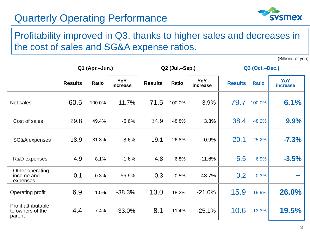

### Profitability improved in Q3, thanks to higher sales and decreases in the cost of sales and SG&A expense ratios.

(Billions of yen)

|                                                   |                | Q1 (Apr.-Jun.) |                 | Q2 (Jul.-Sep.) |              |                 | Q3 (Oct.-Dec.) |              |                        |
|---------------------------------------------------|----------------|----------------|-----------------|----------------|--------------|-----------------|----------------|--------------|------------------------|
|                                                   | <b>Results</b> | Ratio          | YoY<br>increase | <b>Results</b> | <b>Ratio</b> | YoY<br>increase | <b>Results</b> | <b>Ratio</b> | YoY<br><b>increase</b> |
| Net sales                                         | 60.5           | 100.0%         | $-11.7%$        | 71.5           | 100.0%       | $-3.9%$         | 79.7           | 100.0%       | 6.1%                   |
| Cost of sales                                     | 29.8           | 49.4%          | $-5.6%$         | 34.9           | 48.8%        | 3.3%            | 38.4           | 48.2%        | 9.9%                   |
| SG&A expenses                                     | 18.9           | 31.3%          | $-8.6%$         | 19.1           | 26.8%        | $-0.9%$         | 20.1           | 25.2%        | $-7.3%$                |
| R&D expenses                                      | 4.9            | 8.1%           | $-1.6%$         | 4.8            | 6.8%         | $-11.6%$        | 5.5            | 6.9%         | $-3.5%$                |
| Other operating<br>income and<br>expenses         | 0.1            | 0.3%           | 56.9%           | 0.3            | 0.5%         | $-43.7%$        | 0.2            | 0.3%         |                        |
| Operating profit                                  | 6.9            | 11.5%          | $-38.3%$        | 13.0           | 18.2%        | $-21.0%$        | 15.9           | 19.9%        | 26.0%                  |
| Profit attributable<br>to owners of the<br>parent | 4.4            | 7.4%           | $-33.0%$        | 8.1            | 11.4%        | $-25.1%$        | 10.6           | 13.3%        | 19.5%                  |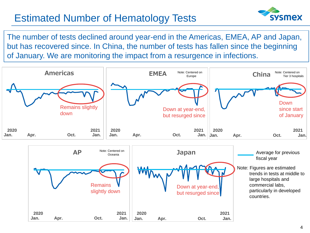# Estimated Number of Hematology Tests



The number of tests declined around year-end in the Americas, EMEA, AP and Japan, but has recovered since. In China, the number of tests has fallen since the beginning of January. We are monitoring the impact from a resurgence in infections.



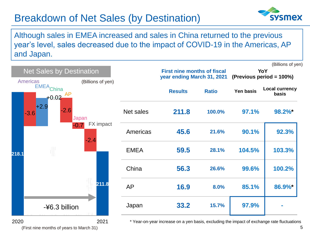# Breakdown of Net Sales (by Destination)



5

Although sales in EMEA increased and sales in China returned to the previous year's level, sales decreased due to the impact of COVID-19 in the Americas, AP and Japan.



(First nine months of years to March 31)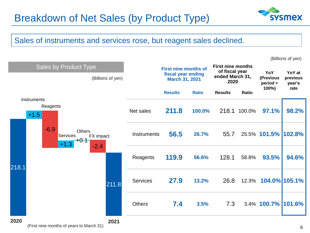

### Sales of instruments and services rose, but reagent sales declined.



6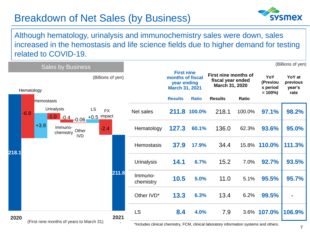# Breakdown of Net Sales (by Business)



Although hematology, urinalysis and immunochemistry sales were down, sales increased in the hemostasis and life science fields due to higher demand for testing related to COVID-19.

|       | <b>Sales by Business</b> |                                          |                             |                      |                                                                                                                     |      |                   |                                                                               |              |                                                             | (Billions of yen) |                                           |                                      |
|-------|--------------------------|------------------------------------------|-----------------------------|----------------------|---------------------------------------------------------------------------------------------------------------------|------|-------------------|-------------------------------------------------------------------------------|--------------|-------------------------------------------------------------|-------------------|-------------------------------------------|--------------------------------------|
|       | Hematology               |                                          |                             |                      | (Billions of yen)                                                                                                   |      |                   | <b>First nine</b><br>months of fiscal<br>year ending<br><b>March 31, 2021</b> |              | First nine months of<br>fiscal year ended<br>March 31, 2020 |                   | YoY<br>(Previou<br>s period<br>$= 100\%)$ | YoY at<br>previous<br>year's<br>rate |
|       |                          | Hemostasis                               |                             |                      |                                                                                                                     |      |                   | <b>Results</b>                                                                | <b>Ratio</b> | <b>Results</b>                                              | Ratio             |                                           |                                      |
|       | $-6.8$                   |                                          | <b>Urinalysis</b><br>$-1.0$ |                      | LS<br><b>FX</b><br>$\frac{1-0.4}{0.06}$ +0.5 impact                                                                 |      | Net sales         |                                                                               | 211.8 100.0% | 218.1                                                       | 100.0%            | 97.1%                                     | 98.2%                                |
|       |                          | $+3.9$                                   | Immuno-<br>chemistry        | Other<br><b>IVD</b>  | $-2.4$                                                                                                              |      | Hematology        | 127.3                                                                         | 60.1%        | 136.0                                                       | 62.3%             | 93.6%                                     | 95.0%                                |
| 218.1 |                          |                                          |                             |                      |                                                                                                                     |      | <b>Hemostasis</b> | 37.9                                                                          | 17.9%        | 34.4                                                        |                   | 15.8% 110.0%                              | 111.3%                               |
|       |                          |                                          |                             | <b>Urinalysis</b>    | 14.1                                                                                                                | 6.7% | 15.2              | 7.0%                                                                          | 92.7%        | 93.5%                                                       |                   |                                           |                                      |
|       |                          |                                          | 211.8                       | Immuno-<br>chemistry | 10.5                                                                                                                | 5.0% | 11.0              | 5.1%                                                                          | 95.5%        | 95.7%                                                       |                   |                                           |                                      |
|       |                          |                                          |                             |                      | Other IVD*                                                                                                          | 13.3 | 6.3%              | 13.4                                                                          | 6.2%         | 99.5%                                                       |                   |                                           |                                      |
| 2020  | 2021                     |                                          | <b>LS</b>                   | 8.4                  | 4.0%                                                                                                                | 7.9  |                   | 3.6% 107.0%                                                                   | 106.9%       |                                                             |                   |                                           |                                      |
|       |                          | (First nine months of years to March 31) |                             |                      | *hoodstad on the food of the contexts of FOM a state of the books of the context of the context of the state of the |      |                   |                                                                               |              |                                                             |                   |                                           |                                      |

fincludes clinical chemistry, FCM, clinical laboratory information systems and others.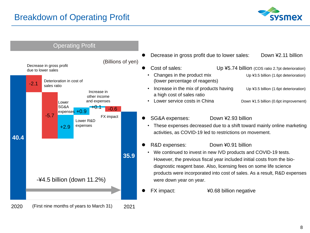

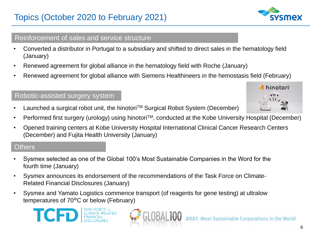# Topics (October 2020 to February 2021)

### Reinforcement of sales and service structure

- Converted a distributor in Portugal to a subsidiary and shifted to direct sales in the hematology field (January)
- Renewed agreement for global alliance in the hematology field with Roche (January)
- Renewed agreement for global alliance with Siemens Healthineers in the hemostasis field (February)

### Robotic-assisted surgery system

- Launched a surgical robot unit, the hinotori<sup>TM</sup> Surgical Robot System (December)
- Performed first surgery (urology) using hinotori<sup>TM</sup>, conducted at the Kobe University Hospital (December)
- Opened training centers at Kobe University Hospital International Clinical Cancer Research Centers (December) and Fujita Health University (January)

### **Others**

**ICF** 

- Sysmex selected as one of the Global 100's Most Sustainable Companies in the Word for the fourth time (January)
- Sysmex announces its endorsement of the recommendations of the Task Force on Climate-Related Financial Disclosures (January)
- Sysmex and Yamato Logistics commence transport (of reagents for gene testing) at ultralow temperatures of 70°C or below (February)





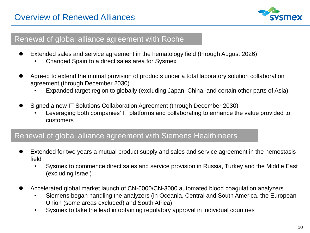

### Renewal of global alliance agreement with Roche

- Extended sales and service agreement in the hematology field (through August 2026)
	- Changed Spain to a direct sales area for Sysmex
- ⚫ Agreed to extend the mutual provision of products under a total laboratory solution collaboration agreement (through December 2030)
	- Expanded target region to globally (excluding Japan, China, and certain other parts of Asia)
- ⚫ Signed a new IT Solutions Collaboration Agreement (through December 2030)
	- Leveraging both companies' IT platforms and collaborating to enhance the value provided to customers

### Renewal of global alliance agreement with Siemens Healthineers

- Extended for two years a mutual product supply and sales and service agreement in the hemostasis field
	- Sysmex to commence direct sales and service provision in Russia, Turkey and the Middle East (excluding Israel)
- ⚫ Accelerated global market launch of CN-6000/CN-3000 automated blood coagulation analyzers
	- Siemens began handling the analyzers (in Oceania, Central and South America, the European Union (some areas excluded) and South Africa)
	- Sysmex to take the lead in obtaining regulatory approval in individual countries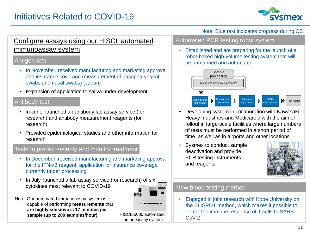

### Configure assays using our HISCL automated immunoassay system in the extended of a stablished and are preparing for the launch of a

#### Antigen test

- In November, received manufacturing and marketing approval and insurance coverage (measurement of nasopharyngeal swabs and nasal swabs) (Japan)
- Expansion of application to saliva under development

#### Antibody test

- In June, launched an antibody lab assay service (for research) and antibody measurement reagents (for research)
- Provided epidemiological studies and other information for research

#### Tests to predict severity and monitor treatment

- In December, received manufacturing and marketing approval for the IFN-λ3 reagent; application for insurance coverage currently under processing
- In July, launched a lab assay service (for research) of six cytokines most relevant to COVID-19



Note: Our automated immunoassay system is capable of performing **measurements** that **are highly sensitive** in **17 minutes per sample (up to 200 samples/hour).** HISCL-5000 automated

immunoassay system

#### Note: Blue text indicates progress during Q3.

#### Automated PCR testing robot system

robot-based high-volume testing system that will be unmanned and automated



- Developing system in collaboration with Kawasaki Heavy Industries and Medicaroid with the aim of rollout in large-scale facilities where large numbers of tests must be performed in a short period of time, as well as in airports and other locations
- Sysmex to conduct sample deactivation and provide PCR testing instruments and reagents



#### New blood testing method

• Engaged in joint research with Kobe University on the ELISPOT method, which makes it possible to detect the immune response of T cells to SARS-CoV-2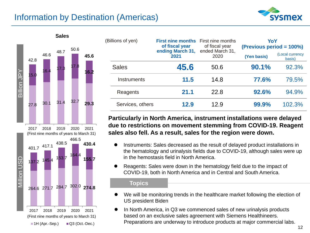### Information by Destination (Americas)





| (Billions of yen) |                  | <b>First nine months</b><br>of fiscal year | First nine months<br>of fiscal year | YoY<br>(Previous period = 100%) |                           |  |
|-------------------|------------------|--------------------------------------------|-------------------------------------|---------------------------------|---------------------------|--|
|                   |                  | ending March 31,<br>2021                   | ended March 31,<br>2020             | (Yen basis)                     | (Local currency<br>basis) |  |
|                   | <b>Sales</b>     | 45.6                                       | 50.6                                | 90.1%                           | 92.3%                     |  |
|                   | Instruments      | 11.5                                       | 14.8                                | 77.6%                           | 79.5%                     |  |
|                   | Reagents         | 21.1                                       | 22.8                                | 92.6%                           | 94.9%                     |  |
|                   | Services, others | 12.9                                       | 12.9                                | 99.9%                           | 102.3%                    |  |

**Particularly in North America, instrument installations were delayed due to restrictions on movement stemming from COVID-19. Reagent sales also fell. As a result, sales for the region were down.**

- ⚫ Instruments: Sales decreased as the result of delayed product installations in the hematology and urinalysis fields due to COVID-19, although sales were up in the hemostasis field in North America.
- ⚫ Reagents: Sales were down in the hematology field due to the impact of COVID-19, both in North America and in Central and South America.

- We will be monitoring trends in the healthcare market following the election of US president Biden
- ⚫ In North America, in Q3 we commenced sales of new urinalysis products based on an exclusive sales agreement with Siemens Healthineers. Preparations are underway to introduce products at major commercial labs.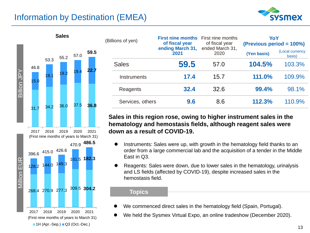### Information by Destination (EMEA)





| (Billions of yen) |                  | <b>First nine months</b> First nine months<br>of fiscal year | of fiscal year          | YoY<br>(Previous period = 100%) |                           |  |
|-------------------|------------------|--------------------------------------------------------------|-------------------------|---------------------------------|---------------------------|--|
|                   |                  | ending March 31,<br>2021                                     | ended March 31,<br>2020 | (Yen basis)                     | (Local currency<br>basis) |  |
|                   | <b>Sales</b>     | 59.5                                                         | 57.0                    | 104.5%                          | 103.3%                    |  |
|                   | Instruments      | 17.4                                                         | 15.7                    | 111.0%                          | 109.9%                    |  |
|                   | Reagents         | 32.4                                                         | 32.6                    | 99.4%                           | 98.1%                     |  |
|                   | Services, others | 9.6                                                          | 8.6                     | 112.3%                          | 110.9%                    |  |

**Sales in this region rose, owing to higher instrument sales in the hematology and hemostasis fields, although reagent sales were down as a result of COVID-19.** 

- Instruments: Sales were up, with growth in the hematology field thanks to an order from a large commercial lab and the acquisition of a tender in the Middle East in Q3.
- ⚫ Reagents: Sales were down, due to lower sales in the hematology, urinalysis and LS fields (affected by COVID-19), despite increased sales in the hemostasis field.

- We commenced direct sales in the hematology field (Spain, Portugal).
- ⚫ We held the Sysmex Virtual Expo, an online tradeshow (December 2020).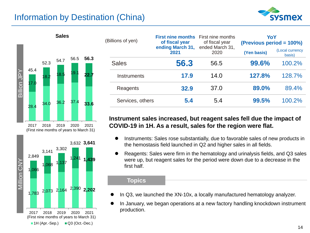### Information by Destination (China)





| (Billions of yen) |                          | <b>First nine months</b><br>of fiscal year | First nine months<br>of fiscal year | YoY<br>(Previous period = 100%) |        |  |
|-------------------|--------------------------|--------------------------------------------|-------------------------------------|---------------------------------|--------|--|
|                   | ending March 31,<br>2021 | ended March 31,<br>2020                    | (Yen basis)                         | (Local currency<br>basis)       |        |  |
|                   | <b>Sales</b>             | 56.3                                       | 56.5                                | 99.6%                           | 100.2% |  |
|                   | Instruments              | 17.9                                       | 14.0                                | 127.8%                          | 128.7% |  |
|                   | Reagents                 | 32.9                                       | 37.0                                | 89.0%                           | 89.4%  |  |
|                   | Services, others         | 5.4                                        | 5.4                                 | 99.5%                           | 100.2% |  |

#### **Instrument sales increased, but reagent sales fell due the impact of COVID-19 in 1H. As a result, sales for the region were flat.**

- Instruments: Sales rose substantially, due to favorable sales of new products in the hemostasis field launched in Q2 and higher sales in all fields.
- ⚫ Reagents: Sales were firm in the hematology and urinalysis fields, and Q3 sales were up, but reagent sales for the period were down due to a decrease in the first half.

- In Q3, we launched the XN-10x, a locally manufactured hematology analyzer.
- ⚫ In January, we began operations at a new factory handling knockdown instrument production.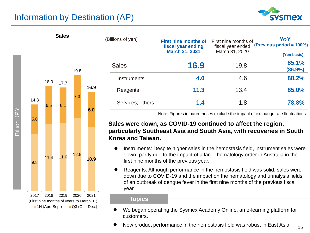### Information by Destination (AP)

**Sales**





| (Billions of yen)  | <b>First nine months of</b><br>fiscal year ending | First nine months of<br>fiscal year ended | YoY<br>(Previous period = 100%) |  |
|--------------------|---------------------------------------------------|-------------------------------------------|---------------------------------|--|
|                    | <b>March 31, 2021</b>                             | March 31, 2020                            | (Yen basis)                     |  |
| <b>Sales</b>       | 16.9                                              | 19.8                                      | 85.1%<br>(86.9%)                |  |
| <b>Instruments</b> | 4.0                                               | 4.6                                       | 88.2%                           |  |
| Reagents           | 11.3                                              | 13.4                                      | 85.0%                           |  |
| Services, others   | 1.4                                               | 1.8                                       | 78.8%                           |  |

Note: Figures in parentheses exclude the impact of exchange rate fluctuations.

#### **Sales were down, as COVID-19 continued to affect the region, particularly Southeast Asia and South Asia, with recoveries in South Korea and Taiwan.**

- ⚫ Instruments: Despite higher sales in the hemostasis field, instrument sales were down, partly due to the impact of a large hematology order in Australia in the first nine months of the previous year.
- ⚫ Reagents: Although performance in the hemostasis field was solid, sales were down due to COVID-19 and the impact on the hematology and urinalysis fields of an outbreak of dengue fever in the first nine months of the previous fiscal year.

- We began operating the Sysmex Academy Online, an e-learning platform for customers.
- New product performance in the hemostasis field was robust in East Asia.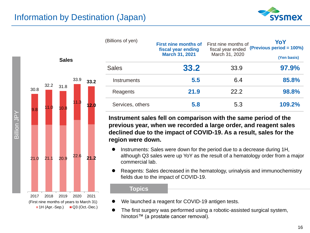



| (Billions of yen)  | <b>First nine months of</b><br>fiscal year ending | First nine months of<br>fiscal year ended | YoY<br>(Previous period = 100%) |
|--------------------|---------------------------------------------------|-------------------------------------------|---------------------------------|
|                    | <b>March 31, 2021</b>                             | March 31, 2020                            | (Yen basis)                     |
| <b>Sales</b>       | 33.2                                              | 33.9                                      | 97.9%                           |
| <b>Instruments</b> | 5.5                                               | 6.4                                       | 85.8%                           |
| Reagents           | 21.9                                              | 22.2                                      | 98.8%                           |
| Services, others   | 5.8                                               | 5.3                                       | 109.2%                          |

**Instrument sales fell on comparison with the same period of the previous year, when we recorded a large order, and reagent sales declined due to the impact of COVID-19. As a result, sales for the region were down.**

- ⚫ Instruments: Sales were down for the period due to a decrease during 1H, although Q3 sales were up YoY as the result of a hematology order from a major commercial lab.
- ⚫ Reagents: Sales decreased in the hematology, urinalysis and immunochemistry fields due to the impact of COVID-19.

- We launched a reagent for COVID-19 antigen tests.
- ⚫ The first surgery was performed using a robotic-assisted surgical system, hinotori™ (a prostate cancer removal).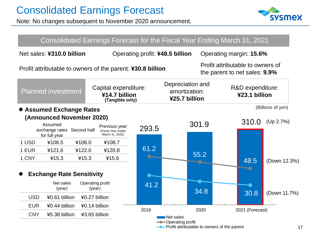Note: No changes subsequent to November 2020 announcement.



|            |                                                                                     |                            |                                                            |       |                                                                           |       | Consolidated Earnings Forecast for the Fiscal Year Ending March 31, 2021 |                   |
|------------|-------------------------------------------------------------------------------------|----------------------------|------------------------------------------------------------|-------|---------------------------------------------------------------------------|-------|--------------------------------------------------------------------------|-------------------|
|            | Net sales: ¥310.0 billion                                                           |                            |                                                            |       | Operating profit: ¥48.5 billion                                           |       | Operating margin: 15.6%                                                  |                   |
|            |                                                                                     |                            | Profit attributable to owners of the parent: ¥30.8 billion |       |                                                                           |       | Profit attributable to owners of<br>the parent to net sales: 9.9%        |                   |
|            | <b>Planned investment</b>                                                           |                            | Capital expenditure:<br>¥14.7 billion<br>(Tangible only)   |       | Depreciation and<br>amortization:<br>¥25.7 billion                        |       | R&D expenditure:<br>¥23.1 billion                                        |                   |
|            | <b>Assumed Exchange Rates</b>                                                       |                            |                                                            |       |                                                                           |       |                                                                          | (Billions of yen) |
|            | (Announced November 2020)<br>Assumed<br>exchange rates Second half<br>for full year |                            | Previous year<br>(Fiscal Year ended<br>March 31, 2020)     | 293.5 |                                                                           | 301.9 | 310.0                                                                    | (Up 2.7%)         |
| 1 USD      | ¥106.5                                                                              | ¥106.0                     | ¥108.7                                                     |       |                                                                           |       |                                                                          |                   |
| 1 EUR      | ¥121.6                                                                              | ¥122.0                     | ¥120.8                                                     | 61.2  |                                                                           | 55.2  |                                                                          |                   |
| 1 CNY      | ¥15.3                                                                               | ¥15.3                      | ¥15.6                                                      |       |                                                                           |       | 48.5                                                                     | (Down 12.3%)      |
|            | <b>Exchange Rate Sensitivity</b>                                                    |                            |                                                            |       |                                                                           |       |                                                                          |                   |
|            | Net sales<br>(year)                                                                 | Operating profit<br>(year) |                                                            | 41.2  |                                                                           | 34.8  |                                                                          |                   |
| <b>USD</b> | ¥0.61 billion                                                                       | ¥0.27 billion              |                                                            |       |                                                                           |       | 30.8                                                                     | (Down 11.7%)      |
| <b>EUR</b> | ¥0.44 billion                                                                       | ¥0.14 billion              |                                                            |       |                                                                           |       |                                                                          |                   |
| <b>CNY</b> | ¥5.38 billion                                                                       | ¥3.65 billion              |                                                            | 2019  | Net sales                                                                 | 2020  | 2021 (Forecast)                                                          |                   |
|            |                                                                                     |                            |                                                            |       | -Operating profit<br><b>-</b> Profit attributable to owners of the parent |       |                                                                          |                   |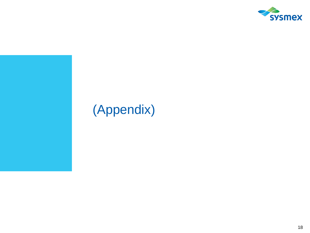

# (Appendix)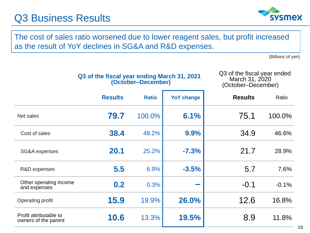# Q3 Business Results



The cost of sales ratio worsened due to lower reagent sales, but profit increased as the result of YoY declines in SG&A and R&D expenses.

(Billions of yen)

| Q3 of the fiscal year ending March 31, 2021 |                    |  |
|---------------------------------------------|--------------------|--|
|                                             | (October-December) |  |

Q3 of the fiscal year ended March 31, 2020 (October–December)

|                                                | <b>Results</b> | <b>Ratio</b> | <b>YoY change</b> | <b>Results</b> | Ratio   |
|------------------------------------------------|----------------|--------------|-------------------|----------------|---------|
| Net sales                                      | 79.7           | 100.0%       | 6.1%              | 75.1           | 100.0%  |
| Cost of sales                                  | 38.4           | 48.2%        | 9.9%              | 34.9           | 46.6%   |
| SG&A expenses                                  | 20.1           | 25.2%        | $-7.3%$           | 21.7           | 28.9%   |
| R&D expenses                                   | 5.5            | 6.9%         | $-3.5%$           | 5.7            | 7.6%    |
| Other operating income<br>and expenses         | 0.2            | 0.3%         | <b>Contractor</b> | $-0.1$         | $-0.1%$ |
| <b>Operating profit</b>                        | 15.9           | 19.9%        | 26.0%             | 12.6           | 16.8%   |
| Profit attributable to<br>owners of the parent | 10.6           | 13.3%        | 19.5%             | 8.9            | 11.8%   |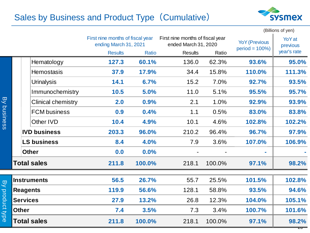### Sales by Business and Product Type (Cumulative)



|                                |                                                                          |  |                           |                                                           | (Billions of yen) |                                                          |        |                                           |                           |
|--------------------------------|--------------------------------------------------------------------------|--|---------------------------|-----------------------------------------------------------|-------------------|----------------------------------------------------------|--------|-------------------------------------------|---------------------------|
|                                |                                                                          |  |                           | First nine months of fiscal year<br>ending March 31, 2021 |                   | First nine months of fiscal year<br>ended March 31, 2020 |        | <b>YoY</b> (Previous<br>$period = 100\%)$ | <b>YoY</b> at<br>previous |
|                                |                                                                          |  |                           | <b>Results</b>                                            |                   | <b>Results</b><br>Ratio<br>Ratio                         |        |                                           | year's rate               |
| <b>B</b><br>business           |                                                                          |  | Hematology                | 127.3                                                     | 60.1%             | 136.0                                                    | 62.3%  | 93.6%                                     | 95.0%                     |
|                                |                                                                          |  | <b>Hemostasis</b>         | 37.9                                                      | 17.9%             | 34.4                                                     | 15.8%  | 110.0%                                    | 111.3%                    |
|                                |                                                                          |  | <b>Urinalysis</b>         | 14.1                                                      | 6.7%              | 15.2                                                     | 7.0%   | 92.7%                                     | 93.5%                     |
|                                |                                                                          |  | Immunochemistry           | 10.5                                                      | 5.0%              | 11.0                                                     | 5.1%   | 95.5%                                     | 95.7%                     |
|                                |                                                                          |  | <b>Clinical chemistry</b> | 2.0                                                       | 0.9%              | 2.1                                                      | 1.0%   | 92.9%                                     | 93.9%                     |
|                                |                                                                          |  | <b>FCM</b> business       | 0.9                                                       | 0.4%              | 1.1                                                      | 0.5%   | 83.0%                                     | 83.8%                     |
|                                |                                                                          |  | Other IVD                 | 10.4                                                      | 4.9%              | 10.1                                                     | 4.6%   | 102.8%                                    | 102.2%                    |
|                                |                                                                          |  | <b>IVD business</b>       | 203.3                                                     | 96.0%             | 210.2                                                    | 96.4%  | 96.7%                                     | 97.9%                     |
|                                |                                                                          |  | <b>LS business</b>        | 8.4                                                       | 4.0%              | 7.9                                                      | 3.6%   | 107.0%                                    | 106.9%                    |
|                                |                                                                          |  | <b>Other</b>              | 0.0                                                       | 0.0%              |                                                          |        | ÷                                         |                           |
|                                | <b>Total sales</b>                                                       |  |                           | 211.8                                                     | 100.0%            | 218.1                                                    | 100.0% | 97.1%                                     | 98.2%                     |
| $\overline{8}$<br>product type | <b>Instruments</b><br><b>Reagents</b><br><b>Services</b><br><b>Other</b> |  |                           | 56.5                                                      | 26.7%             | 55.7                                                     | 25.5%  | 101.5%                                    | 102.8%                    |
|                                |                                                                          |  |                           | 119.9                                                     | 56.6%             | 128.1                                                    | 58.8%  | 93.5%                                     | 94.6%                     |
|                                |                                                                          |  |                           | 27.9                                                      | 13.2%             | 26.8                                                     | 12.3%  | 104.0%                                    | 105.1%                    |
|                                |                                                                          |  |                           | 7.4                                                       | 3.5%              | 7.3                                                      | 3.4%   | 100.7%                                    | 101.6%                    |
|                                | <b>Total sales</b>                                                       |  |                           | 211.8                                                     | 100.0%            | 218.1                                                    | 100.0% | 97.1%                                     | 98.2%<br>ᡔᠣ               |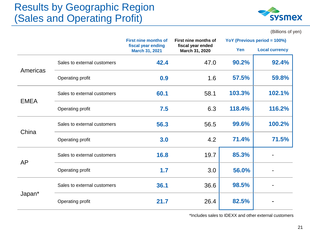# Results by Geographic Region (Sales and Operating Profit)



(Billions of yen)

|             |                             | <b>First nine months of</b>                                                        | First nine months of | YoY (Previous period = 100%) |                       |
|-------------|-----------------------------|------------------------------------------------------------------------------------|----------------------|------------------------------|-----------------------|
|             |                             | fiscal year ending<br>fiscal year ended<br><b>March 31, 2021</b><br>March 31, 2020 |                      | Yen                          | <b>Local currency</b> |
| Americas    | Sales to external customers | 42.4                                                                               | 47.0                 | 90.2%                        | 92.4%                 |
|             | Operating profit            | 0.9                                                                                | 1.6                  | 57.5%                        | 59.8%                 |
| <b>EMEA</b> | Sales to external customers | 60.1                                                                               | 58.1                 | 103.3%                       | 102.1%                |
|             | Operating profit            | 7.5                                                                                | 6.3                  | 118.4%                       | 116.2%                |
| China       | Sales to external customers | 56.3                                                                               | 56.5                 | 99.6%                        | 100.2%                |
|             | Operating profit            | 3.0                                                                                | 4.2                  | 71.4%                        | 71.5%                 |
| <b>AP</b>   | Sales to external customers | 16.8                                                                               | 19.7                 | 85.3%                        |                       |
|             | Operating profit            | 1.7                                                                                | 3.0                  | 56.0%                        |                       |
|             | Sales to external customers | 36.1                                                                               | 36.6                 | 98.5%                        |                       |
| Japan*      | Operating profit            | 21.7                                                                               | 26.4                 | 82.5%                        |                       |

\*Includes sales to IDEXX and other external customers